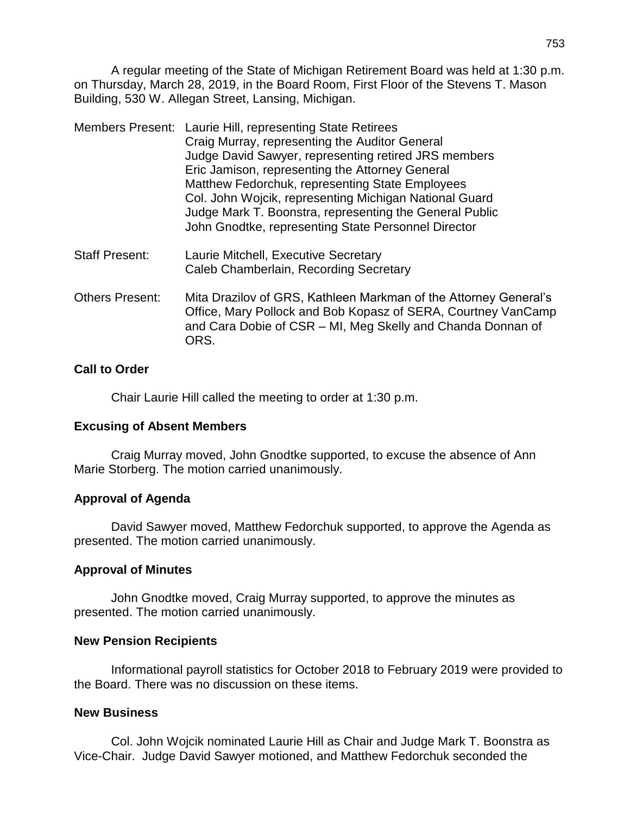A regular meeting of the State of Michigan Retirement Board was held at 1:30 p.m. on Thursday, March 28, 2019, in the Board Room, First Floor of the Stevens T. Mason Building, 530 W. Allegan Street, Lansing, Michigan.

|                        | Members Present: Laurie Hill, representing State Retirees<br>Craig Murray, representing the Auditor General<br>Judge David Sawyer, representing retired JRS members<br>Eric Jamison, representing the Attorney General<br>Matthew Fedorchuk, representing State Employees<br>Col. John Wojcik, representing Michigan National Guard<br>Judge Mark T. Boonstra, representing the General Public<br>John Gnodtke, representing State Personnel Director |
|------------------------|-------------------------------------------------------------------------------------------------------------------------------------------------------------------------------------------------------------------------------------------------------------------------------------------------------------------------------------------------------------------------------------------------------------------------------------------------------|
| <b>Staff Present:</b>  | Laurie Mitchell, Executive Secretary<br>Caleb Chamberlain, Recording Secretary                                                                                                                                                                                                                                                                                                                                                                        |
| <b>Others Present:</b> | Mita Drazilov of GRS, Kathleen Markman of the Attorney General's                                                                                                                                                                                                                                                                                                                                                                                      |

Office, Mary Pollock and Bob Kopasz of SERA, Courtney VanCamp and Cara Dobie of CSR – MI, Meg Skelly and Chanda Donnan of ORS.

# **Call to Order**

Chair Laurie Hill called the meeting to order at 1:30 p.m.

# **Excusing of Absent Members**

Craig Murray moved, John Gnodtke supported, to excuse the absence of Ann Marie Storberg. The motion carried unanimously.

# **Approval of Agenda**

David Sawyer moved, Matthew Fedorchuk supported, to approve the Agenda as presented. The motion carried unanimously.

# **Approval of Minutes**

John Gnodtke moved, Craig Murray supported, to approve the minutes as presented. The motion carried unanimously.

### **New Pension Recipients**

Informational payroll statistics for October 2018 to February 2019 were provided to the Board. There was no discussion on these items.

### **New Business**

Col. John Wojcik nominated Laurie Hill as Chair and Judge Mark T. Boonstra as Vice-Chair. Judge David Sawyer motioned, and Matthew Fedorchuk seconded the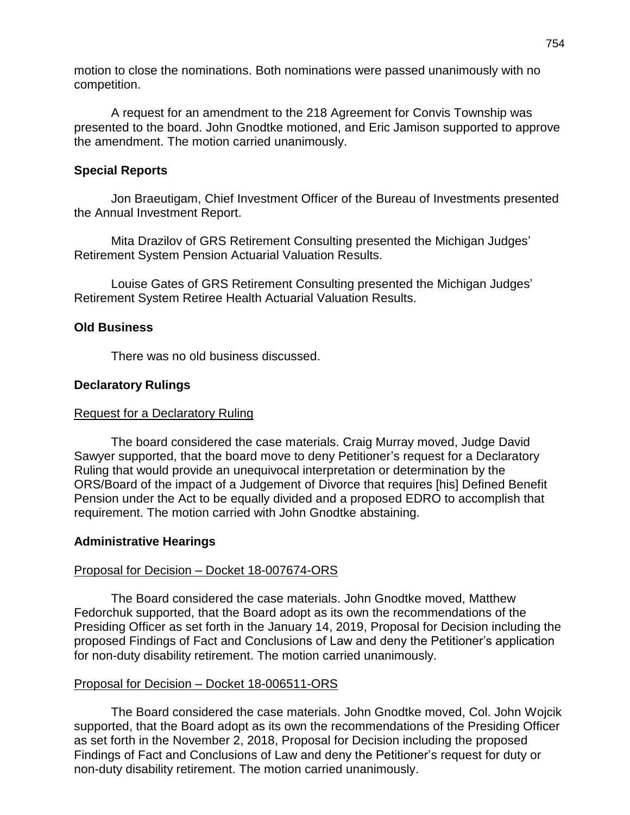motion to close the nominations. Both nominations were passed unanimously with no competition.

A request for an amendment to the 218 Agreement for Convis Township was presented to the board. John Gnodtke motioned, and Eric Jamison supported to approve the amendment. The motion carried unanimously.

## **Special Reports**

Jon Braeutigam, Chief Investment Officer of the Bureau of Investments presented the Annual Investment Report.

Mita Drazilov of GRS Retirement Consulting presented the Michigan Judges' Retirement System Pension Actuarial Valuation Results.

Louise Gates of GRS Retirement Consulting presented the Michigan Judges' Retirement System Retiree Health Actuarial Valuation Results.

## **Old Business**

There was no old business discussed.

## **Declaratory Rulings**

### Request for a Declaratory Ruling

The board considered the case materials. Craig Murray moved, Judge David Sawyer supported, that the board move to deny Petitioner's request for a Declaratory Ruling that would provide an unequivocal interpretation or determination by the ORS/Board of the impact of a Judgement of Divorce that requires [his] Defined Benefit Pension under the Act to be equally divided and a proposed EDRO to accomplish that requirement. The motion carried with John Gnodtke abstaining.

### **Administrative Hearings**

### Proposal for Decision – Docket 18-007674-ORS

The Board considered the case materials. John Gnodtke moved, Matthew Fedorchuk supported, that the Board adopt as its own the recommendations of the Presiding Officer as set forth in the January 14, 2019, Proposal for Decision including the proposed Findings of Fact and Conclusions of Law and deny the Petitioner's application for non-duty disability retirement. The motion carried unanimously.

### Proposal for Decision – Docket 18-006511-ORS

The Board considered the case materials. John Gnodtke moved, Col. John Wojcik supported, that the Board adopt as its own the recommendations of the Presiding Officer as set forth in the November 2, 2018, Proposal for Decision including the proposed Findings of Fact and Conclusions of Law and deny the Petitioner's request for duty or non-duty disability retirement. The motion carried unanimously.